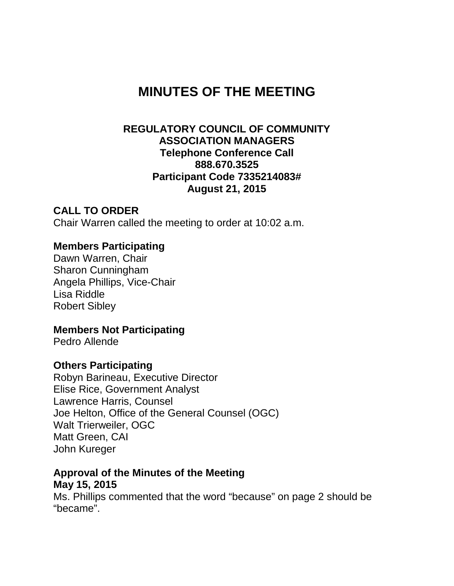# **MINUTES OF THE MEETING**

#### **REGULATORY COUNCIL OF COMMUNITY ASSOCIATION MANAGERS Telephone Conference Call 888.670.3525 Participant Code 7335214083# August 21, 2015**

#### **CALL TO ORDER**

Chair Warren called the meeting to order at 10:02 a.m.

#### **Members Participating**

Dawn Warren, Chair Sharon Cunningham Angela Phillips, Vice-Chair Lisa Riddle Robert Sibley

#### **Members Not Participating**

Pedro Allende

#### **Others Participating**

Robyn Barineau, Executive Director Elise Rice, Government Analyst Lawrence Harris, Counsel Joe Helton, Office of the General Counsel (OGC) Walt Trierweiler, OGC Matt Green, CAI John Kureger

#### **Approval of the Minutes of the Meeting May 15, 2015**

Ms. Phillips commented that the word "because" on page 2 should be "became".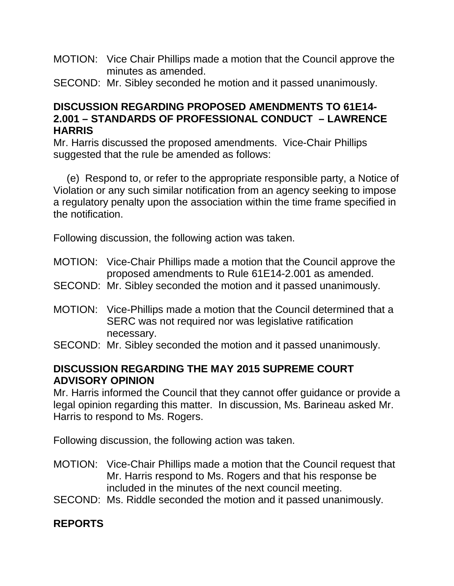- MOTION: Vice Chair Phillips made a motion that the Council approve the minutes as amended.
- SECOND: Mr. Sibley seconded he motion and it passed unanimously.

### **DISCUSSION REGARDING PROPOSED AMENDMENTS TO 61E14- 2.001 – STANDARDS OF PROFESSIONAL CONDUCT – LAWRENCE HARRIS**

Mr. Harris discussed the proposed amendments. Vice-Chair Phillips suggested that the rule be amended as follows:

(e) Respond to, or refer to the appropriate responsible party, a Notice of Violation or any such similar notification from an agency seeking to impose a regulatory penalty upon the association within the time frame specified in the notification.

Following discussion, the following action was taken.

- MOTION: Vice-Chair Phillips made a motion that the Council approve the proposed amendments to Rule 61E14-2.001 as amended.
- SECOND: Mr. Sibley seconded the motion and it passed unanimously.
- MOTION: Vice-Phillips made a motion that the Council determined that a SERC was not required nor was legislative ratification necessary.
- SECOND: Mr. Sibley seconded the motion and it passed unanimously.

### **DISCUSSION REGARDING THE MAY 2015 SUPREME COURT ADVISORY OPINION**

Mr. Harris informed the Council that they cannot offer guidance or provide a legal opinion regarding this matter. In discussion, Ms. Barineau asked Mr. Harris to respond to Ms. Rogers.

Following discussion, the following action was taken.

- MOTION: Vice-Chair Phillips made a motion that the Council request that Mr. Harris respond to Ms. Rogers and that his response be included in the minutes of the next council meeting.
- SECOND: Ms. Riddle seconded the motion and it passed unanimously.

# **REPORTS**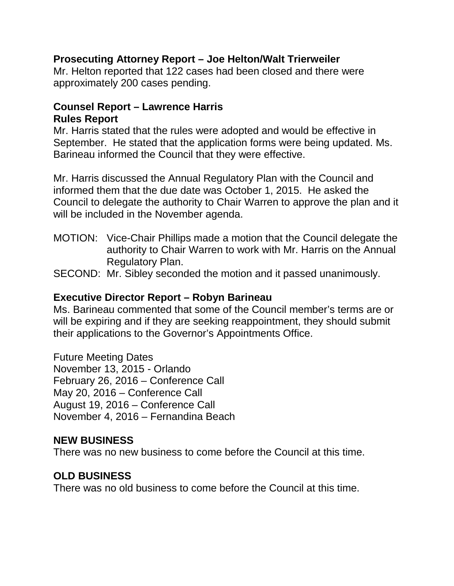### **Prosecuting Attorney Report – Joe Helton/Walt Trierweiler**

Mr. Helton reported that 122 cases had been closed and there were approximately 200 cases pending.

### **Counsel Report – Lawrence Harris Rules Report**

Mr. Harris stated that the rules were adopted and would be effective in September. He stated that the application forms were being updated. Ms. Barineau informed the Council that they were effective.

Mr. Harris discussed the Annual Regulatory Plan with the Council and informed them that the due date was October 1, 2015. He asked the Council to delegate the authority to Chair Warren to approve the plan and it will be included in the November agenda.

- MOTION: Vice-Chair Phillips made a motion that the Council delegate the authority to Chair Warren to work with Mr. Harris on the Annual Regulatory Plan.
- SECOND: Mr. Sibley seconded the motion and it passed unanimously.

#### **Executive Director Report – Robyn Barineau**

Ms. Barineau commented that some of the Council member's terms are or will be expiring and if they are seeking reappointment, they should submit their applications to the Governor's Appointments Office.

Future Meeting Dates November 13, 2015 - Orlando February 26, 2016 – Conference Call May 20, 2016 – Conference Call August 19, 2016 – Conference Call November 4, 2016 – Fernandina Beach

### **NEW BUSINESS**

There was no new business to come before the Council at this time.

# **OLD BUSINESS**

There was no old business to come before the Council at this time.